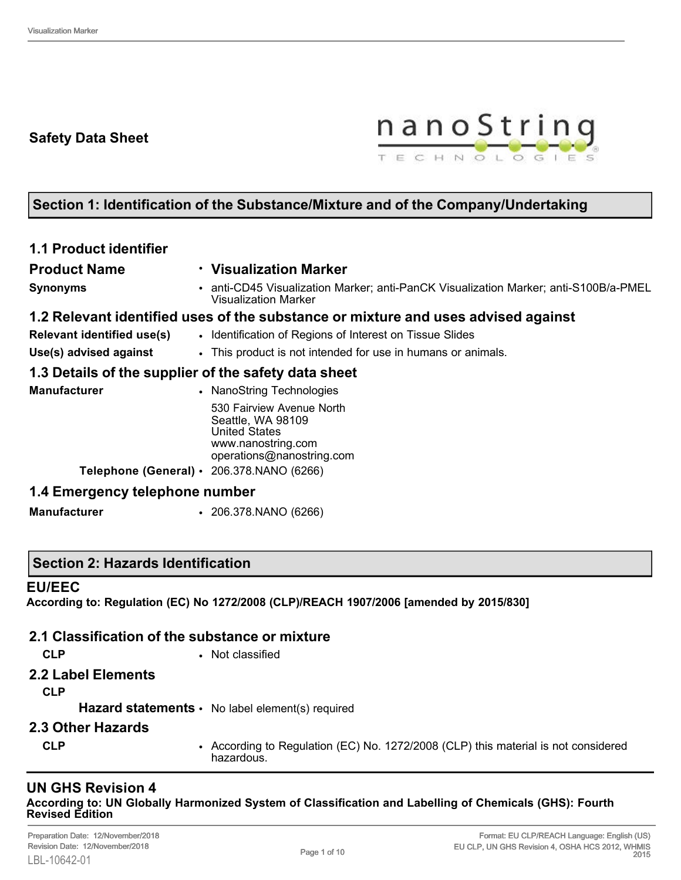# **Safety Data Sheet**



# **Section 1: Identification of the Substance/Mixture and of the Company/Undertaking**

| <b>1.1 Product identifier</b>            |                                                                                                                                                                              |
|------------------------------------------|------------------------------------------------------------------------------------------------------------------------------------------------------------------------------|
| <b>Product Name</b>                      | <b>· Visualization Marker</b>                                                                                                                                                |
| <b>Synonyms</b>                          | • anti-CD45 Visualization Marker; anti-PanCK Visualization Marker; anti-S100B/a-PMEL<br><b>Visualization Marker</b>                                                          |
|                                          | 1.2 Relevant identified uses of the substance or mixture and uses advised against                                                                                            |
| Relevant identified use(s)               | • Identification of Regions of Interest on Tissue Slides                                                                                                                     |
| Use(s) advised against                   | • This product is not intended for use in humans or animals.                                                                                                                 |
|                                          | 1.3 Details of the supplier of the safety data sheet                                                                                                                         |
| <b>Manufacturer</b>                      | • NanoString Technologies                                                                                                                                                    |
|                                          | 530 Fairview Avenue North<br>Seattle, WA 98109<br><b>United States</b><br>www.nanostring.com<br>operations@nanostring.com<br>Telephone (General) $\cdot$ 206.378.NANO (6266) |
| 1.4 Emergency telephone number           |                                                                                                                                                                              |
| <b>Manufacturer</b>                      | $\cdot$ 206.378.NANO (6266)                                                                                                                                                  |
| <b>Section 2: Hazards Identification</b> |                                                                                                                                                                              |
| <b>EU/EEC</b>                            | According to: Regulation (EC) No 1272/2008 (CLP)/REACH 1907/2006 [amended by 2015/830]                                                                                       |

## **2.1 Classification of the substance or mixture**

- 
- **CLP** Not classified
- **2.2 Label Elements**

**CLP**

#### **Hazard statements** • No label element(s) required

- **2.3 Other Hazards**
- **CLP** According to Regulation (EC) No. 1272/2008 (CLP) this material is not considered hazardous.

#### **UN GHS Revision 4 According to: UN Globally Harmonized System of Classification and Labelling of Chemicals (GHS): Fourth Revised Edition**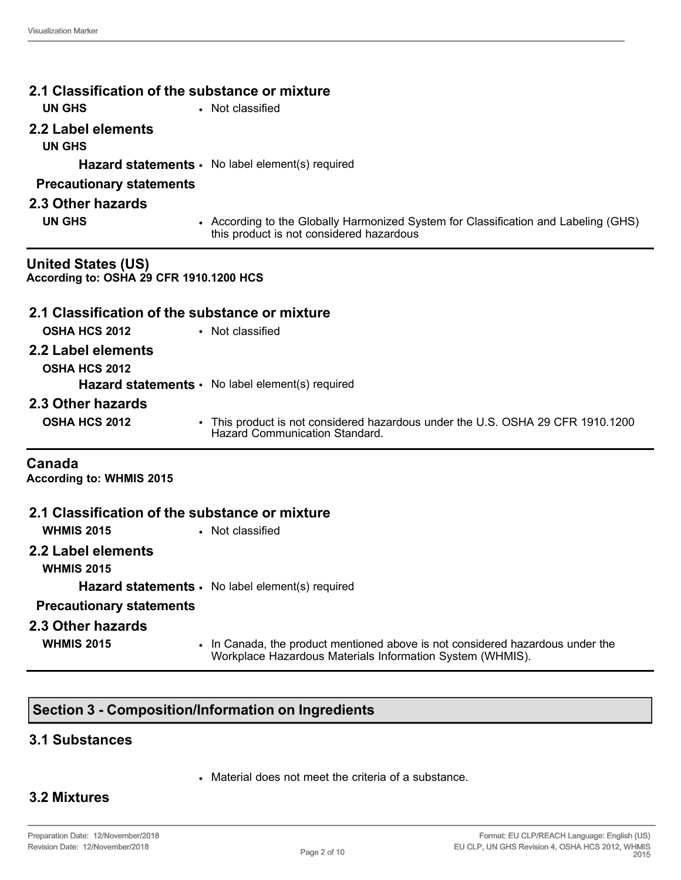| 2.1 Classification of the substance or mixture<br><b>UN GHS</b>      |                                                                                                                                             |
|----------------------------------------------------------------------|---------------------------------------------------------------------------------------------------------------------------------------------|
|                                                                      | • Not classified                                                                                                                            |
| 2.2 Label elements                                                   |                                                                                                                                             |
| <b>UN GHS</b>                                                        |                                                                                                                                             |
|                                                                      | <b>Hazard statements <math>\cdot</math></b> No label element(s) required                                                                    |
| <b>Precautionary statements</b>                                      |                                                                                                                                             |
| 2.3 Other hazards                                                    |                                                                                                                                             |
| <b>UN GHS</b>                                                        | • According to the Globally Harmonized System for Classification and Labeling (GHS)<br>this product is not considered hazardous             |
| <b>United States (US)</b><br>According to: OSHA 29 CFR 1910.1200 HCS |                                                                                                                                             |
| 2.1 Classification of the substance or mixture                       |                                                                                                                                             |
| <b>OSHA HCS 2012</b>                                                 | • Not classified                                                                                                                            |
| 2.2 Label elements                                                   |                                                                                                                                             |
| OSHA HCS 2012                                                        |                                                                                                                                             |
|                                                                      | <b>Hazard statements <math>\cdot</math></b> No label element(s) required                                                                    |
| 2.3 Other hazards                                                    |                                                                                                                                             |
| <b>OSHA HCS 2012</b>                                                 | • This product is not considered hazardous under the U.S. OSHA 29 CFR 1910.1200<br>Hazard Communication Standard                            |
| Canada<br><b>According to: WHMIS 2015</b>                            |                                                                                                                                             |
| 2.1 Classification of the substance or mixture                       |                                                                                                                                             |
| <b>WHMIS 2015</b>                                                    | • Not classified                                                                                                                            |
| 2.2 Label elements<br><b>WHMIS 2015</b>                              |                                                                                                                                             |
|                                                                      | Hazard statements · No label element(s) required                                                                                            |
| <b>Precautionary statements</b>                                      |                                                                                                                                             |
| 2.3 Other hazards                                                    |                                                                                                                                             |
| <b>WHMIS 2015</b>                                                    | • In Canada, the product mentioned above is not considered hazardous under the<br>Workplace Hazardous Materials Information System (WHMIS). |

# **Section 3 - Composition/Information on Ingredients**

## **3.1 Substances**

• Material does not meet the criteria of a substance.

# **3.2 Mixtures**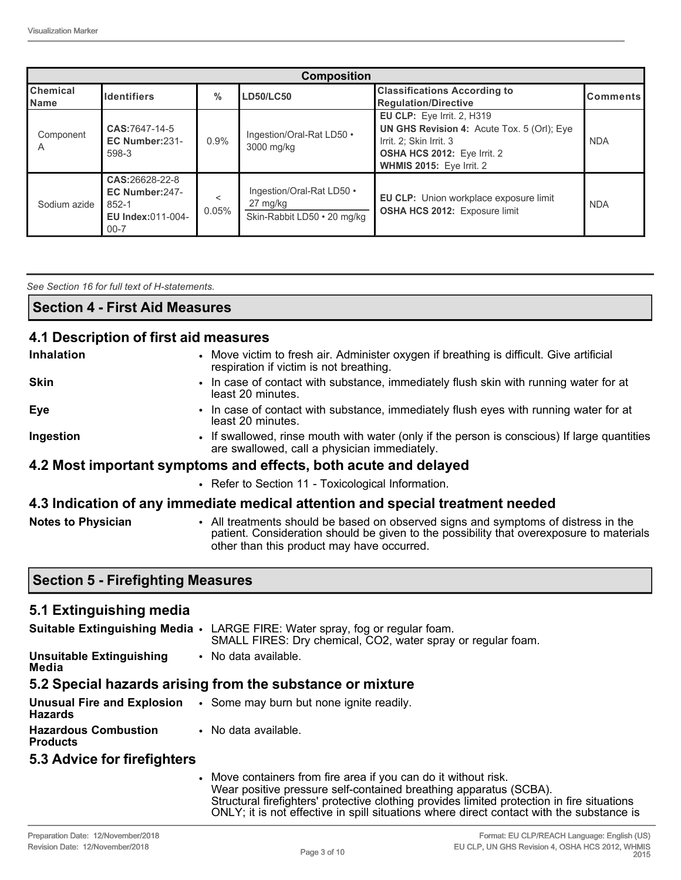|                                | <b>Composition</b>                                                         |            |                                                                      |                                                                                                                                                                              |                 |
|--------------------------------|----------------------------------------------------------------------------|------------|----------------------------------------------------------------------|------------------------------------------------------------------------------------------------------------------------------------------------------------------------------|-----------------|
| <b>Chemical</b><br><b>Name</b> | <b>Identifiers</b>                                                         | $\%$       | <b>LD50/LC50</b>                                                     | <b>Classifications According to</b><br><b>Regulation/Directive</b>                                                                                                           | <b>Comments</b> |
| Component                      | CAS:7647-14-5<br>EC Number:231-<br>598-3                                   | 0.9%       | Ingestion/Oral-Rat LD50 •<br>3000 mg/kg                              | <b>EU CLP:</b> Eye Irrit. 2, H319<br>UN GHS Revision 4: Acute Tox. 5 (Orl); Eye<br>Irrit. 2: Skin Irrit. 3<br><b>OSHA HCS 2012:</b> Eye Irrit. 2<br>WHMIS 2015: Eye Irrit. 2 | <b>NDA</b>      |
| Sodium azide                   | CAS:26628-22-8<br>EC Number:247-<br>852-1<br>EU Index:011-004-<br>$00 - 7$ | <<br>0.05% | Ingestion/Oral-Rat LD50 .<br>27 mg/kg<br>Skin-Rabbit LD50 • 20 mg/kg | EU CLP: Union workplace exposure limit<br><b>OSHA HCS 2012: Exposure limit</b>                                                                                               | <b>NDA</b>      |

*See Section 16 for full text of H-statements.* 

#### **4.1 Description of first aid measures**

| <b>Inhalation</b>         | • Move victim to fresh air. Administer oxygen if breathing is difficult. Give artificial<br>respiration if victim is not breathing.                                            |
|---------------------------|--------------------------------------------------------------------------------------------------------------------------------------------------------------------------------|
| <b>Skin</b>               | • In case of contact with substance, immediately flush skin with running water for at<br>least 20 minutes.                                                                     |
| Eye                       | • In case of contact with substance, immediately flush eyes with running water for at<br>least 20 minutes.                                                                     |
| Ingestion                 | • If swallowed, rinse mouth with water (only if the person is conscious) If large quantities<br>are swallowed, call a physician immediately.                                   |
|                           | 4.2 Most important symptoms and effects, both acute and delayed                                                                                                                |
|                           | • Refer to Section 11 - Toxicological Information.                                                                                                                             |
|                           | 4.3 Indication of any immediate medical attention and special treatment needed                                                                                                 |
| <b>Notes to Physician</b> | • All treatments should be based on observed signs and symptoms of distress in the<br>patient. Consideration should be given to the possibility that overexposure to materials |

other than this product may have occurred.

#### **Section 5 - Firefighting Measures**

| 5.1 Extinguishing media                        |                                                                                                                                              |
|------------------------------------------------|----------------------------------------------------------------------------------------------------------------------------------------------|
|                                                | Suitable Extinguishing Media • LARGE FIRE: Water spray, fog or regular foam.<br>SMALL FIRES: Dry chemical, CO2, water spray or regular foam. |
| <b>Unsuitable Extinguishing</b><br>Media       | • No data available.                                                                                                                         |
|                                                | 5.2 Special hazards arising from the substance or mixture                                                                                    |
| <b>Hazards</b>                                 | <b>Unusual Fire and Explosion</b> . Some may burn but none ignite readily.                                                                   |
| <b>Hazardous Combustion</b><br><b>Products</b> | • No data available.                                                                                                                         |
| 5.3 Advice for firefighters                    |                                                                                                                                              |
|                                                | • Move containers from fire area if you can do it without risk.                                                                              |

• Move containers from fire area if you can do it without risk. Wear positive pressure self-contained breathing apparatus (SCBA). Structural firefighters' protective clothing provides limited protection in fire situations ONLY; it is not effective in spill situations where direct contact with the substance is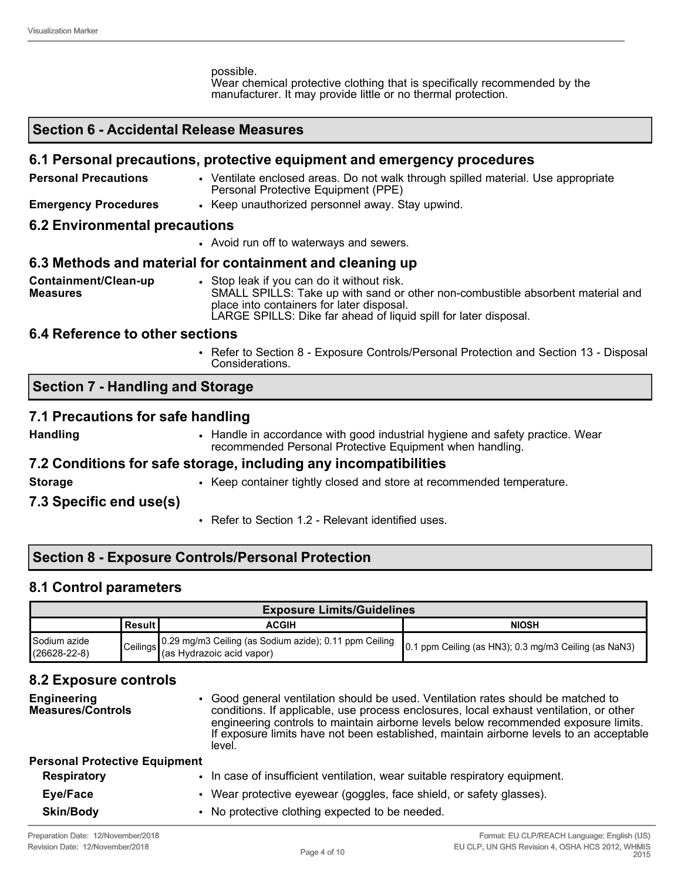possible. Wear chemical protective clothing that is specifically recommended by the manufacturer. It may provide little or no thermal protection.

#### **Section 6 - Accidental Release Measures**

#### **6.1 Personal precautions, protective equipment and emergency procedures**

**Personal Precautions ••** Ventilate enclosed areas. Do not walk through spilled material. Use appropriate Personal Protective Equipment (PPE) **Emergency Procedures** • Keep unauthorized personnel away. Stay upwind. **6.2 Environmental precautions** • Avoid run off to waterways and sewers.

## **6.3 Methods and material for containment and cleaning up**

**Containment/Clean-up Measures** • Stop leak if you can do it without risk. SMALL SPILLS: Take up with sand or other non-combustible absorbent material and place into containers for later disposal. LARGE SPILLS: Dike far ahead of liquid spill for later disposal.

#### **6.4 Reference to other sections**

• Refer to Section 8 - Exposure Controls/Personal Protection and Section 13 - Disposal Considerations.

## **Section 7 - Handling and Storage**

#### **7.1 Precautions for safe handling**

- 
- **Handling Handle in accordance with good industrial hygiene and safety practice. Wear** recommended Personal Protective Equipment when handling.

#### **7.2 Conditions for safe storage, including any incompatibilities**

- 
- **Storage •** Keep container tightly closed and store at recommended temperature.

#### **7.3 Specific end use(s)**

• Refer to Section 1.2 - Relevant identified uses.

## **Section 8 - Exposure Controls/Personal Protection**

#### **8.1 Control parameters**

| <b>Exposure Limits/Guidelines</b>  |           |                                                                                                       |                                                        |
|------------------------------------|-----------|-------------------------------------------------------------------------------------------------------|--------------------------------------------------------|
|                                    | ∣Result I | ACGIH                                                                                                 | <b>NIOSH</b>                                           |
| Sodium azide<br>$(26628 - 22 - 8)$ |           | Ceilings 0.29 mg/m3 Ceiling (as Sodium azide); 0.11 ppm Ceiling<br>Ceilings (as Hydrazoic acid vapor) | ∥0.1 ppm Ceiling (as HN3); 0.3 mg/m3 Ceiling (as NaN3) |

#### **8.2 Exposure controls**

| <b>Engineering</b><br><b>Measures/Controls</b> | • Good general ventilation should be used. Ventilation rates should be matched to<br>conditions. If applicable, use process enclosures, local exhaust ventilation, or other<br>engineering controls to maintain airborne levels below recommended exposure limits.<br>If exposure limits have not been established, maintain airborne levels to an acceptable<br>level. |
|------------------------------------------------|-------------------------------------------------------------------------------------------------------------------------------------------------------------------------------------------------------------------------------------------------------------------------------------------------------------------------------------------------------------------------|
| <b>Personal Protective Equipment</b>           |                                                                                                                                                                                                                                                                                                                                                                         |
| <b>Respiratory</b>                             | • In case of insufficient ventilation, wear suitable respiratory equipment.                                                                                                                                                                                                                                                                                             |
| Eye/Face                                       | • Wear protective eyewear (goggles, face shield, or safety glasses).                                                                                                                                                                                                                                                                                                    |
| <b>Skin/Body</b>                               | • No protective clothing expected to be needed.                                                                                                                                                                                                                                                                                                                         |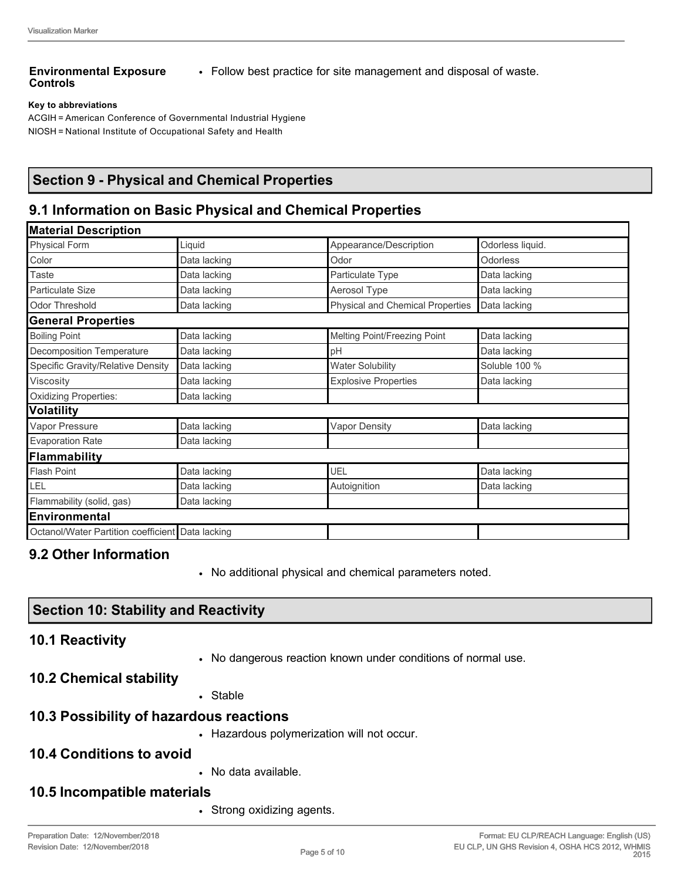#### **Environmental Exposure Controls**

• Follow best practice for site management and disposal of waste.

#### **Key to abbreviations**

ACGIH = American Conference of Governmental Industrial Hygiene NIOSH = National Institute of Occupational Safety and Health

## **Section 9 - Physical and Chemical Properties**

## **9.1 Information on Basic Physical and Chemical Properties**

| Liquid       | Appearance/Description                           | Odorless liquid. |
|--------------|--------------------------------------------------|------------------|
| Data lacking | Odor                                             | <b>Odorless</b>  |
| Data lacking | Particulate Type                                 | Data lacking     |
| Data lacking | Aerosol Type                                     | Data lacking     |
| Data lacking | <b>Physical and Chemical Properties</b>          | Data lacking     |
|              |                                                  |                  |
| Data lacking | Melting Point/Freezing Point                     | Data lacking     |
| Data lacking | pH                                               | Data lacking     |
| Data lacking | <b>Water Solubility</b>                          | Soluble 100 %    |
| Data lacking | <b>Explosive Properties</b>                      | Data lacking     |
| Data lacking |                                                  |                  |
|              |                                                  |                  |
| Data lacking | Vapor Density                                    | Data lacking     |
| Data lacking |                                                  |                  |
|              |                                                  |                  |
| Data lacking | UEL                                              | Data lacking     |
| Data lacking | Autoignition                                     | Data lacking     |
| Data lacking |                                                  |                  |
|              |                                                  |                  |
|              |                                                  |                  |
|              | Octanol/Water Partition coefficient Data lacking |                  |

## **9.2 Other Information**

• No additional physical and chemical parameters noted.

## **Section 10: Stability and Reactivity**

#### **10.1 Reactivity**

• No dangerous reaction known under conditions of normal use.

## **10.2 Chemical stability**

• Stable

#### **10.3 Possibility of hazardous reactions**

• Hazardous polymerization will not occur.

## **10.4 Conditions to avoid**

• No data available.

#### **10.5 Incompatible materials**

• Strong oxidizing agents.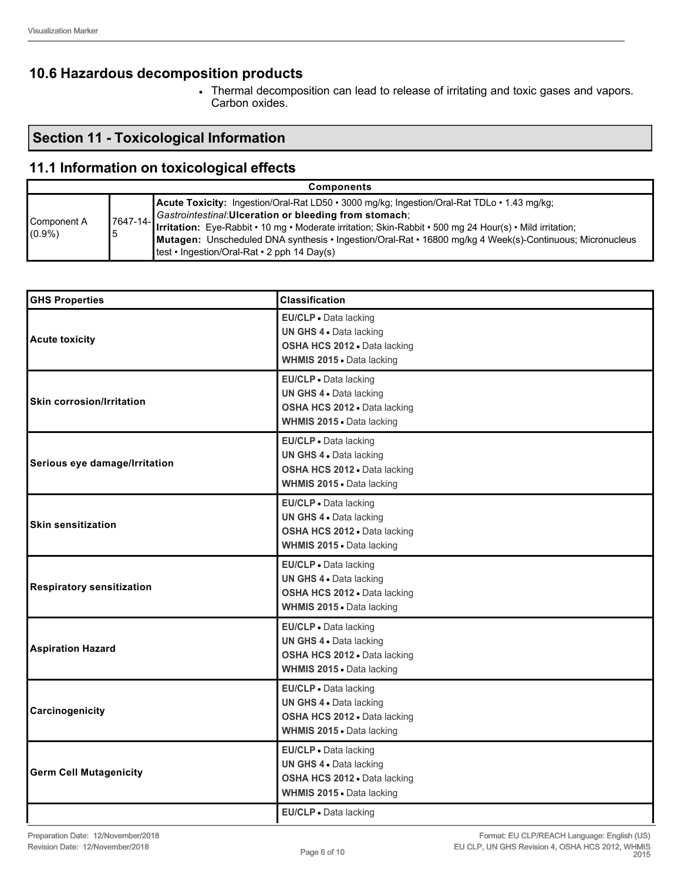## **10.6 Hazardous decomposition products**

• Thermal decomposition can lead to release of irritating and toxic gases and vapors. Carbon oxides.

# **Section 11 - Toxicological Information**

# **11.1 Information on toxicological effects**

| <b>Components</b>        |                      |                                                                                                                                                                                                                                                                                                                                                                                                                               |  |
|--------------------------|----------------------|-------------------------------------------------------------------------------------------------------------------------------------------------------------------------------------------------------------------------------------------------------------------------------------------------------------------------------------------------------------------------------------------------------------------------------|--|
| Component A<br>$(0.9\%)$ | $7647 - 14 - 1$<br>5 | Acute Toxicity: Ingestion/Oral-Rat LD50 · 3000 mg/kg; Ingestion/Oral-Rat TDLo · 1.43 mg/kg;<br>Gastrointestinal: Ulceration or bleeding from stomach;<br>Irritation: Eye-Rabbit • 10 mg • Moderate irritation; Skin-Rabbit • 500 mg 24 Hour(s) • Mild irritation;<br>Mutagen: Unscheduled DNA synthesis • Ingestion/Oral-Rat • 16800 mg/kg 4 Week(s)-Continuous; Micronucleus<br>Itest • Ingestion/Oral-Rat • 2 pph 14 Day(s) |  |

| <b>GHS Properties</b>            | <b>Classification</b>                                                                                         |
|----------------------------------|---------------------------------------------------------------------------------------------------------------|
| <b>Acute toxicity</b>            | EU/CLP · Data lacking<br>UN GHS 4 . Data lacking<br>OSHA HCS 2012 · Data lacking<br>WHMIS 2015 . Data lacking |
| <b>Skin corrosion/Irritation</b> | EU/CLP · Data lacking<br>UN GHS 4 . Data lacking<br>OSHA HCS 2012 . Data lacking<br>WHMIS 2015 . Data lacking |
| Serious eye damage/Irritation    | EU/CLP · Data lacking<br>UN GHS 4 . Data lacking<br>OSHA HCS 2012 · Data lacking<br>WHMIS 2015 . Data lacking |
| <b>Skin sensitization</b>        | EU/CLP . Data lacking<br>UN GHS 4 . Data lacking<br>OSHA HCS 2012 . Data lacking<br>WHMIS 2015 . Data lacking |
| <b>Respiratory sensitization</b> | EU/CLP · Data lacking<br>UN GHS 4 . Data lacking<br>OSHA HCS 2012 · Data lacking<br>WHMIS 2015 . Data lacking |
| <b>Aspiration Hazard</b>         | EU/CLP · Data lacking<br>UN GHS 4 . Data lacking<br>OSHA HCS 2012 · Data lacking<br>WHMIS 2015 . Data lacking |
| Carcinogenicity                  | EU/CLP · Data lacking<br>UN GHS 4 . Data lacking<br>OSHA HCS 2012 . Data lacking<br>WHMIS 2015 . Data lacking |
| <b>Germ Cell Mutagenicity</b>    | EU/CLP . Data lacking<br>UN GHS 4 . Data lacking<br>OSHA HCS 2012 · Data lacking<br>WHMIS 2015 . Data lacking |
|                                  | EU/CLP . Data lacking                                                                                         |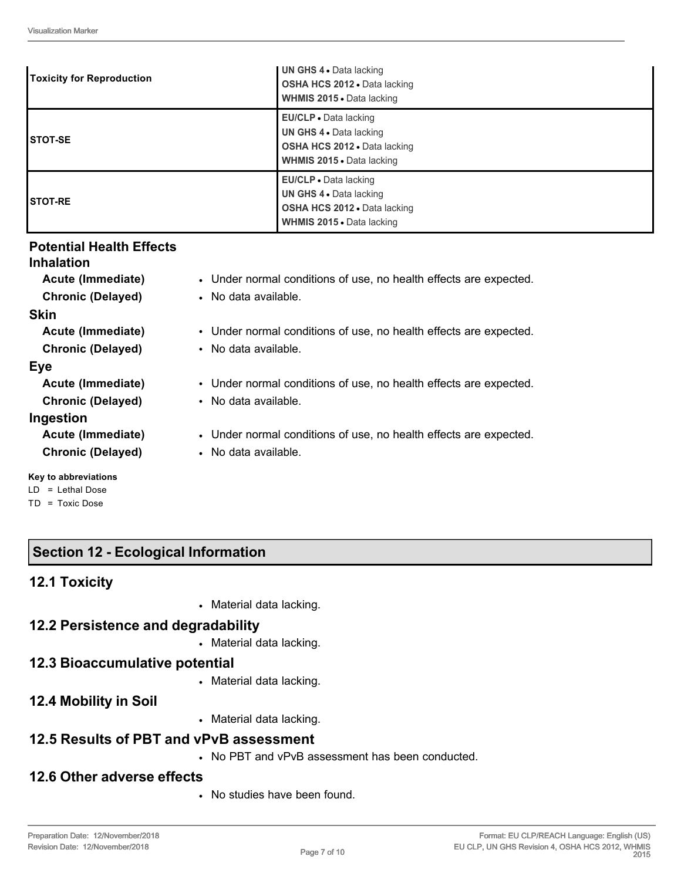| <b>Toxicity for Reproduction</b> | UN GHS 4 . Data lacking<br>OSHA HCS 2012 . Data lacking<br><b>WHMIS 2015 • Data lacking</b>                                 |
|----------------------------------|-----------------------------------------------------------------------------------------------------------------------------|
| <b>ISTOT-SE</b>                  | <b>EU/CLP</b> • Data lacking<br>UN GHS 4 . Data lacking<br>OSHA HCS 2012 . Data lacking<br><b>WHMIS 2015 • Data lacking</b> |
| <b>ISTOT-RE</b>                  | EU/CLP • Data lacking<br><b>UN GHS 4 • Data lacking</b><br>OSHA HCS 2012 . Data lacking<br><b>WHMIS 2015 - Data lacking</b> |

## **Potential Health Effects**

#### **Inhalation**

**Acute (Immediate)** • Under normal conditions of use, no health effects are expected. **Chronic (Delayed)** • No data available.

#### **Skin**

**Acute (Immediate)** • Under normal conditions of use, no health effects are expected.

**Chronic (Delayed)** • No data available.

## **Eye**

| Acute (Immediate)        | • Under normal conditions of use, no health effects are expected. |
|--------------------------|-------------------------------------------------------------------|
| <b>Chronic (Delayed)</b> | • No data available.                                              |
| Ingestion                |                                                                   |
| <b>Acute (Immediate)</b> | • Under normal conditions of use, no health effects are expected. |
| <b>Chronic (Delayed)</b> | • No data available.                                              |
|                          |                                                                   |

#### **Key to abbreviations**

- LD = Lethal Dose
- TD = Toxic Dose

# **Section 12 - Ecological Information**

## **12.1 Toxicity**

• Material data lacking.

# **12.2 Persistence and degradability**

• Material data lacking.

# **12.3 Bioaccumulative potential**

• Material data lacking.

# **12.4 Mobility in Soil**

• Material data lacking.

# **12.5 Results of PBT and vPvB assessment**

• No PBT and vPvB assessment has been conducted.

# **12.6 Other adverse effects**

• No studies have been found.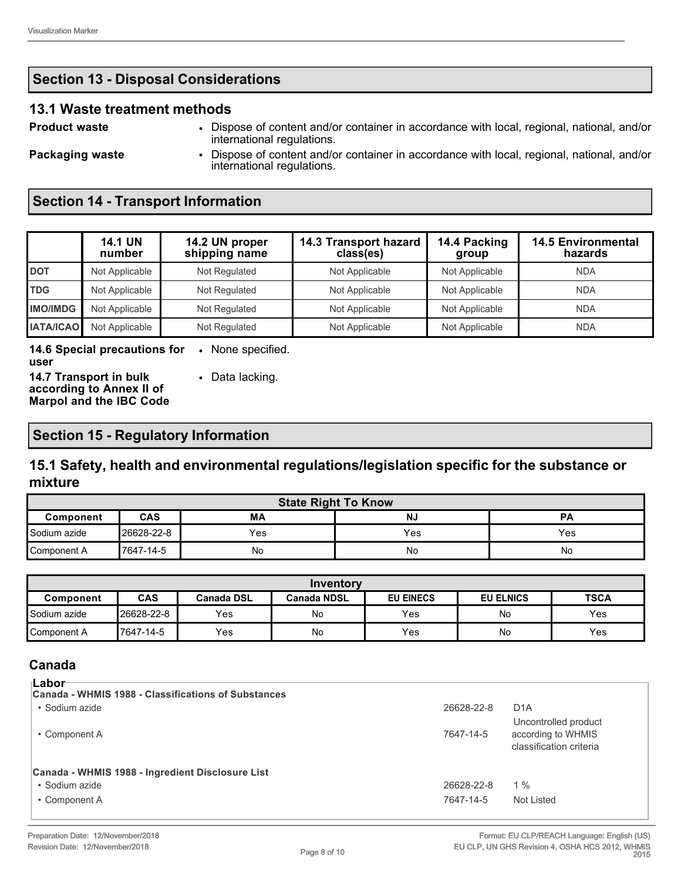#### **13.1 Waste treatment methods**

**Product waste** • Dispose of content and/or container in accordance with local, regional, national, and/or international regulations.

**Packaging waste** • Dispose of content and/or container in accordance with local, regional, national, and/or international regulations.

# **Section 14 - Transport Information**

|                  | <b>14.1 UN</b><br>number | 14.2 UN proper<br>shipping name | 14.3 Transport hazard<br>class(es) | 14.4 Packing<br>group | <b>14.5 Environmental</b><br>hazards |
|------------------|--------------------------|---------------------------------|------------------------------------|-----------------------|--------------------------------------|
| <b>DOT</b>       | Not Applicable           | Not Regulated                   | Not Applicable                     | Not Applicable        | <b>NDA</b>                           |
| <b>TDG</b>       | Not Applicable           | Not Regulated                   | Not Applicable                     | Not Applicable        | <b>NDA</b>                           |
| <b>IMO/IMDG</b>  | Not Applicable           | Not Regulated                   | Not Applicable                     | Not Applicable        | <b>NDA</b>                           |
| <b>IATA/ICAO</b> | Not Applicable           | Not Regulated                   | Not Applicable                     | Not Applicable        | <b>NDA</b>                           |

**14.6 Special precautions for user** • None specified.

**14.7 Transport in bulk according to Annex II of Marpol and the IBC Code** • Data lacking.

## **Section 15 - Regulatory Information**

## **15.1 Safety, health and environmental regulations/legislation specific for the substance or mixture**

| <b>State Right To Know</b>                              |            |     |     |     |  |
|---------------------------------------------------------|------------|-----|-----|-----|--|
| <b>CAS</b><br>МA<br><b>NJ</b><br><b>PA</b><br>Component |            |     |     |     |  |
| Sodium azide                                            | 26628-22-8 | Yes | Yes | Yes |  |
| Component A                                             | 17647-14-5 | No  | No  | No  |  |

| Inventory    |            |                   |                    |                  |                  |             |
|--------------|------------|-------------------|--------------------|------------------|------------------|-------------|
| Component    | <b>CAS</b> | <b>Canada DSL</b> | <b>Canada NDSL</b> | <b>EU EINECS</b> | <b>EU ELNICS</b> | <b>TSCA</b> |
| Sodium azide | 26628-22-8 | Yes               | No                 | Yes              | No               | <b>Yes</b>  |
| Component A  | 7647-14-5  | Yes               | No                 | Yes              | No               | <b>Yes</b>  |

#### **Canada Labor**

| ⊪LaDUI<br>Canada - WHMIS 1988 - Classifications of Substances |            |                                                                       |
|---------------------------------------------------------------|------------|-----------------------------------------------------------------------|
| • Sodium azide                                                | 26628-22-8 | D <sub>1</sub> A                                                      |
| • Component A                                                 | 7647-14-5  | Uncontrolled product<br>according to WHMIS<br>classification criteria |
| Canada - WHMIS 1988 - Ingredient Disclosure List              |            |                                                                       |
| • Sodium azide                                                | 26628-22-8 | $1\%$                                                                 |
| • Component A                                                 | 7647-14-5  | Not Listed                                                            |
|                                                               |            |                                                                       |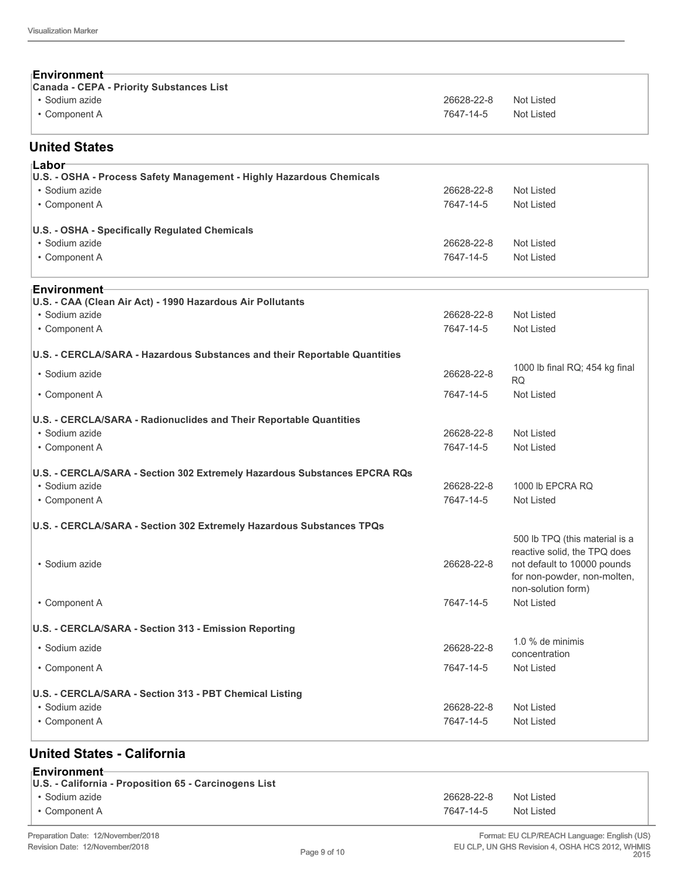| Environment<br><b>Canada - CEPA - Priority Substances List</b>             |            |                                                             |
|----------------------------------------------------------------------------|------------|-------------------------------------------------------------|
| • Sodium azide                                                             | 26628-22-8 | Not Listed                                                  |
| • Component A                                                              | 7647-14-5  | <b>Not Listed</b>                                           |
| <b>United States</b>                                                       |            |                                                             |
| ⊦Labor                                                                     |            |                                                             |
| U.S. - OSHA - Process Safety Management - Highly Hazardous Chemicals       |            |                                                             |
| • Sodium azide                                                             | 26628-22-8 | Not Listed                                                  |
| • Component A                                                              | 7647-14-5  | <b>Not Listed</b>                                           |
| U.S. - OSHA - Specifically Regulated Chemicals                             |            |                                                             |
| • Sodium azide                                                             | 26628-22-8 | Not Listed                                                  |
| • Component A                                                              | 7647-14-5  | Not Listed                                                  |
| Environment-<br>U.S. - CAA (Clean Air Act) - 1990 Hazardous Air Pollutants |            |                                                             |
| · Sodium azide                                                             | 26628-22-8 | <b>Not Listed</b>                                           |
| • Component A                                                              | 7647-14-5  | Not Listed                                                  |
|                                                                            |            |                                                             |
| U.S. - CERCLA/SARA - Hazardous Substances and their Reportable Quantities  |            |                                                             |
| · Sodium azide                                                             | 26628-22-8 | 1000 lb final RQ; 454 kg final<br><b>RQ</b>                 |
| • Component A                                                              | 7647-14-5  | <b>Not Listed</b>                                           |
| U.S. - CERCLA/SARA - Radionuclides and Their Reportable Quantities         |            |                                                             |
| · Sodium azide                                                             | 26628-22-8 | <b>Not Listed</b>                                           |
| • Component A                                                              | 7647-14-5  | <b>Not Listed</b>                                           |
| U.S. - CERCLA/SARA - Section 302 Extremely Hazardous Substances EPCRA RQs  |            |                                                             |
| · Sodium azide                                                             | 26628-22-8 | 1000 lb EPCRA RQ                                            |
| • Component A                                                              | 7647-14-5  | Not Listed                                                  |
| U.S. - CERCLA/SARA - Section 302 Extremely Hazardous Substances TPQs       |            |                                                             |
|                                                                            |            | 500 lb TPQ (this material is a                              |
| · Sodium azide                                                             | 26628-22-8 | reactive solid, the TPQ does<br>not default to 10000 pounds |
|                                                                            |            | for non-powder, non-molten,                                 |
|                                                                            |            | non-solution form)                                          |
| • Component A                                                              | 7647-14-5  | Not Listed                                                  |
| U.S. - CERCLA/SARA - Section 313 - Emission Reporting                      |            |                                                             |
| · Sodium azide                                                             | 26628-22-8 | 1.0 % de minimis<br>concentration                           |
| • Component A                                                              | 7647-14-5  | Not Listed                                                  |
|                                                                            |            |                                                             |
| U.S. - CERCLA/SARA - Section 313 - PBT Chemical Listing<br>• Sodium azide  | 26628-22-8 | <b>Not Listed</b>                                           |
| • Component A                                                              | 7647-14-5  | Not Listed                                                  |
|                                                                            |            |                                                             |
|                                                                            |            |                                                             |

# **United States - California**

| ⊤Environment <del>⊦</del><br>U.S. - California - Proposition 65 - Carcinogens List |            |            |
|------------------------------------------------------------------------------------|------------|------------|
| • Sodium azide                                                                     | 26628-22-8 | Not Listed |
| • Component A                                                                      | 7647-14-5  | Not Listed |
|                                                                                    |            |            |